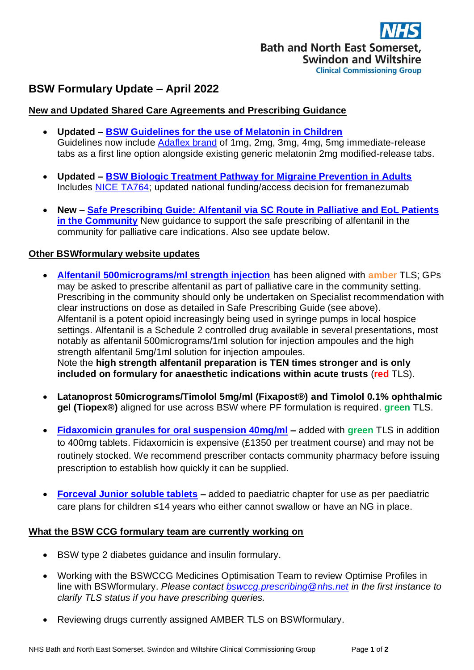## **BSW Formulary Update – April 2022**

## **New and Updated Shared Care Agreements and Prescribing Guidance**

- **Updated – [BSW Guidelines for the use of Melatonin in Children](https://prescribing.bswccg.nhs.uk/?wpdmdl=8535)** Guidelines now include [Adaflex brand](https://www.medicines.org.uk/emc/search?q=adaflex) of 1mg, 2mg, 3mg, 4mg, 5mg immediate-release tabs as a first line option alongside existing generic melatonin 2mg modified-release tabs.
- **Updated – [BSW Biologic Treatment Pathway for Migraine Prevention in Adults](https://prescribing.bswccg.nhs.uk/?wpdmdl=8665)** Includes NICE [TA764;](https://www.nice.org.uk/guidance/ta764) updated national funding/access decision for fremanezumab
- **New – [Safe Prescribing Guide: Alfentanil via SC Route in Palliative and EoL Patients](https://bswpartnership.nhs.uk/medicines/wp-content/uploads/sites/3/2022/05/Alfentanil-prescribing-guideline-final-v1.0.pdf)  [in the Community](https://bswpartnership.nhs.uk/medicines/wp-content/uploads/sites/3/2022/05/Alfentanil-prescribing-guideline-final-v1.0.pdf)** New guidance to support the safe prescribing of alfentanil in the community for palliative care indications. Also see update below.

## **Other BSWformulary website updates**

- **[Alfentanil 500micrograms/ml strength injection](http://bswformulary.nhs.uk/chaptersSubDetails.asp?FormularySectionID=21&SubSectionRef=21.02.01&SubSectionID=A100&drugmatch=5786#5786)** has been aligned with **amber** TLS; GPs may be asked to prescribe alfentanil as part of palliative care in the community setting. Prescribing in the community should only be undertaken on Specialist recommendation with clear instructions on dose as detailed in Safe Prescribing Guide (see above). Alfentanil is a potent opioid increasingly being used in syringe pumps in local hospice settings. Alfentanil is a Schedule 2 controlled drug available in several presentations, most notably as alfentanil 500micrograms/1ml solution for injection ampoules and the high strength alfentanil 5mg/1ml solution for injection ampoules. Note the **high strength alfentanil preparation is TEN times stronger and is only included on formulary for anaesthetic indications within acute trusts** (**red** TLS).
- **Latanoprost 50micrograms/Timolol 5mg/ml (Fixapost®) and Timolol 0.1% ophthalmic gel (Tiopex®)** aligned for use across BSW where PF formulation is required. **green** TLS.
- **[Fidaxomicin granules for oral suspension 40mg/ml](http://bswformulary.nhs.uk/chaptersSubDetails.asp?FormularySectionID=5&SubSectionRef=05.01.07&SubSectionID=J100&drugmatch=4361#4361) –** added with **green** TLS in addition to 400mg tablets. Fidaxomicin is expensive (£1350 per treatment course) and may not be routinely stocked. We recommend prescriber contacts community pharmacy before issuing prescription to establish how quickly it can be supplied.
- **[Forceval Junior soluble tablets](http://bswformulary.nhs.uk/chaptersSubDetails.asp?FormularySectionID=16&SubSectionRef=16.09.02&SubSectionID=A100&drugmatch=5803#5803) –** added to paediatric chapter for use as per paediatric care plans for children ≤14 years who either cannot swallow or have an NG in place.

## **What the BSW CCG formulary team are currently working on**

- BSW type 2 diabetes guidance and insulin formulary.
- Working with the BSWCCG Medicines Optimisation Team to review Optimise Profiles in line with BSWformulary. *Please contact [bswccg.prescribing@nhs.net](mailto:bswccg.prescribing@nhs.net) in the first instance to clarify TLS status if you have prescribing queries.*
- Reviewing drugs currently assigned AMBER TLS on BSWformulary.